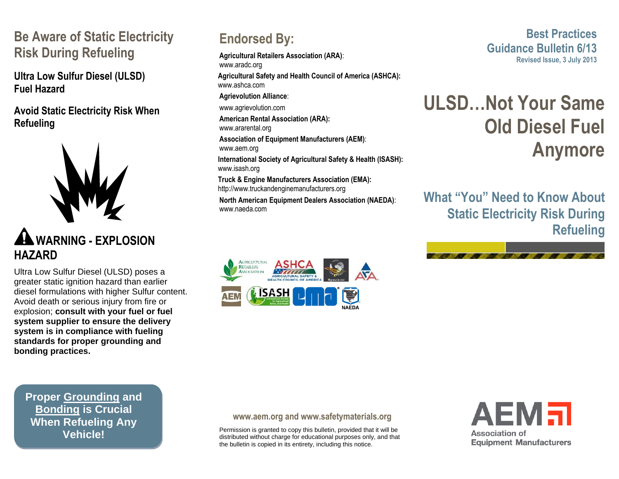### **Be Aware of Static Electricity Risk During Refueling**

**Ultra Low Sulfur Diesel (ULSD) Fuel Hazard**

**Avoid Static Electricity Risk When Refueling**



## **WARNING - EXPLOSION HAZARD**

Ultra Low Sulfur Diesel (ULSD) poses a greater static ignition hazard than earlier diesel formulations with higher Sulfur content. Avoid death or serious injury from fire or explosion; **consult with your fuel or fuel system supplier to ensure the delivery system is in compliance with fueling standards for proper grounding and bonding practices.**

**Endorsed By:**

**Agricultural Retailers Association (ARA)**: www.aradc.org

**Agricultural Safety and Health Council of America (ASHCA):** www.ashca.com **Agrievolution Alliance**: www.agrievolution.com

**American Rental Association (ARA):**

www.ararental.org

**Association of Equipment Manufacturers (AEM)**:

www.aem.org

**International Society of Agricultural Safety & Health (ISASH):** www.isash.org

**Truck & Engine Manufacturers Association (EMA):** http://www.truckandenginemanufacturers.org

**North American Equipment Dealers Association (NAEDA)**: www.naeda.com



**Best Practices Guidance Bulletin 6/13 Revised Issue, 3 July 2013**

# **ULSD…Not Your Same Old Diesel Fuel Anymore**

**What "You" Need to Know About Static Electricity Risk During Refueling**



**Proper Grounding and Bonding is Crucial When Refueling Any Vehicle!**

#### **www.aem.org and [www.safetymaterials.org](http://www.safetymaterials.org/)**

Permission is granted to copy this bulletin, provided that it will be distributed without charge for educational purposes only, and that the bulletin is copied in its entirety, including this notice.